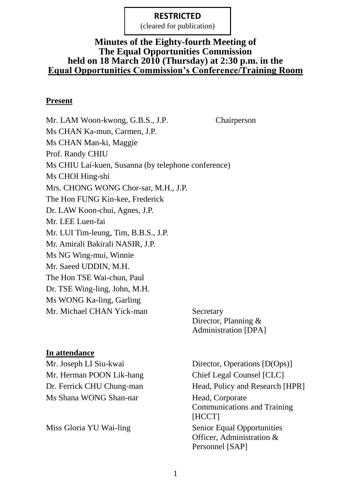RESTRICTED (cleared for publication)

#### **Minutes of the Eighty-fourth Meeting of The Equal Opportunities Commission held on 18 March 2010 (Thursday) at 2:30 p.m. in the Equal Opportunities Commission's Conference/Training Room**

#### **Present**

Mr. LAM Woon-kwong, G.B.S., J.P. Chairperson Ms CHAN Ka-mun, Carmen, J.P. Ms CHAN Man-ki, Maggie Prof. Randy CHIU Ms CHIU Lai-kuen, Susanna (by telephone conference) Ms CHOI Hing-shi Mrs. CHONG WONG Chor-sar, M.H., J.P. The Hon FUNG Kin-kee, Frederick Dr. LAW Koon-chui, Agnes, J.P. Mr. LEE Luen-fai Mr. LUI Tim-leung, Tim, B.B.S., J.P. Mr. Amirali Bakirali NASIR, J.P. Ms NG Wing-mui, Winnie Mr. Saeed UDDIN, M.H. The Hon TSE Wai-chun, Paul Dr. TSE Wing-ling, John, M.H. Ms WONG Ka-ling, Garling Mr. Michael CHAN Yick-man Secretary

Director, Planning & Administration [DPA]

#### **In attendance**

Mr. Herman POON Lik-hang Chief Legal Counsel [CLC] Ms Shana WONG Shan-nar Head, Corporate

Mr. Joseph LI Siu-kwai Director, Operations [D(Ops)] Dr. Ferrick CHU Chung-man Head, Policy and Research [HPR] Communications and Training [HCCT] Miss Gloria YU Wai-ling Senior Equal Opportunities Officer, Administration & Personnel [SAP]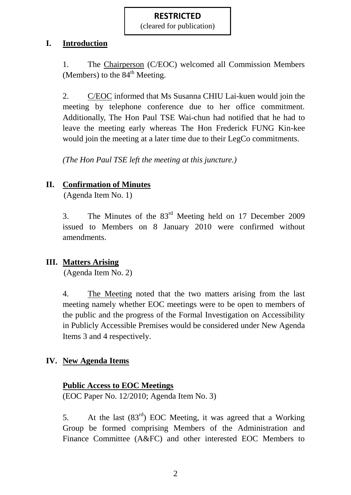RESTRICTED (cleared for publication)

#### **I. Introduction**

1. The Chairperson (C/EOC) welcomed all Commission Members (Members) to the  $84<sup>th</sup>$  Meeting.

2. C/EOC informed that Ms Susanna CHIU Lai-kuen would join the meeting by telephone conference due to her office commitment. Additionally, The Hon Paul TSE Wai-chun had notified that he had to leave the meeting early whereas The Hon Frederick FUNG Kin-kee would join the meeting at a later time due to their LegCo commitments.

*(The Hon Paul TSE left the meeting at this juncture.)*

## **II. Confirmation of Minutes**

(Agenda Item No. 1)

3. The Minutes of the 83rd Meeting held on 17 December 2009 issued to Members on 8 January 2010 were confirmed without amendments.

### **III. Matters Arising**

(Agenda Item No. 2)

4. The Meeting noted that the two matters arising from the last meeting namely whether EOC meetings were to be open to members of the public and the progress of the Formal Investigation on Accessibility in Publicly Accessible Premises would be considered under New Agenda Items 3 and 4 respectively.

### **IV. New Agenda Items**

### **Public Access to EOC Meetings**

(EOC Paper No. 12/2010; Agenda Item No. 3)

5. At the last  $(83<sup>rd</sup>)$  EOC Meeting, it was agreed that a Working Group be formed comprising Members of the Administration and Finance Committee (A&FC) and other interested EOC Members to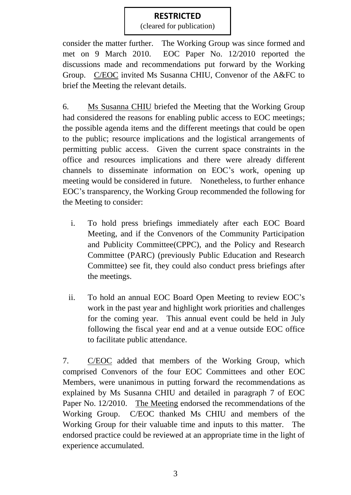RESTRICTED (cleared for publication)

consider the matter further. The Working Group was since formed and met on 9 March 2010. EOC Paper No. 12/2010 reported the discussions made and recommendations put forward by the Working Group. C/EOC invited Ms Susanna CHIU, Convenor of the A&FC to brief the Meeting the relevant details.

6. Ms Susanna CHIU briefed the Meeting that the Working Group had considered the reasons for enabling public access to EOC meetings; the possible agenda items and the different meetings that could be open to the public; resource implications and the logistical arrangements of permitting public access. Given the current space constraints in the office and resources implications and there were already different channels to disseminate information on EOC's work, opening up meeting would be considered in future. Nonetheless, to further enhance EOC's transparency, the Working Group recommended the following for the Meeting to consider:

- i. To hold press briefings immediately after each EOC Board Meeting, and if the Convenors of the Community Participation and Publicity Committee(CPPC), and the Policy and Research Committee (PARC) (previously Public Education and Research Committee) see fit, they could also conduct press briefings after the meetings.
- ii. To hold an annual EOC Board Open Meeting to review EOC's work in the past year and highlight work priorities and challenges for the coming year. This annual event could be held in July following the fiscal year end and at a venue outside EOC office to facilitate public attendance.

7. C/EOC added that members of the Working Group, which comprised Convenors of the four EOC Committees and other EOC Members, were unanimous in putting forward the recommendations as explained by Ms Susanna CHIU and detailed in paragraph 7 of EOC Paper No. 12/2010. The Meeting endorsed the recommendations of the Working Group. C/EOC thanked Ms CHIU and members of the Working Group for their valuable time and inputs to this matter. The endorsed practice could be reviewed at an appropriate time in the light of experience accumulated.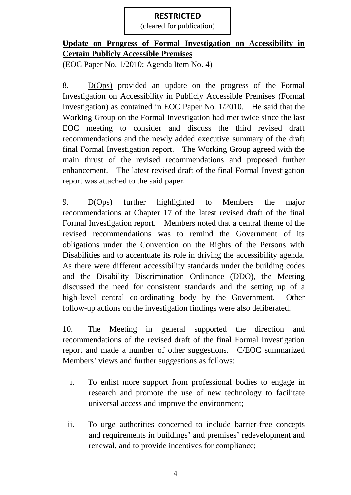RESTRICTED (cleared for publication)

## **Update on Progress of Formal Investigation on Accessibility in Certain Publicly Accessible Premises**

(EOC Paper No. 1/2010; Agenda Item No. 4)

8. D(Ops) provided an update on the progress of the Formal Investigation on Accessibility in Publicly Accessible Premises (Formal Investigation) as contained in EOC Paper No. 1/2010. He said that the Working Group on the Formal Investigation had met twice since the last EOC meeting to consider and discuss the third revised draft recommendations and the newly added executive summary of the draft final Formal Investigation report. The Working Group agreed with the main thrust of the revised recommendations and proposed further enhancement. The latest revised draft of the final Formal Investigation report was attached to the said paper.

9. D(Ops) further highlighted to Members the major recommendations at Chapter 17 of the latest revised draft of the final Formal Investigation report. Members noted that a central theme of the revised recommendations was to remind the Government of its obligations under the Convention on the Rights of the Persons with Disabilities and to accentuate its role in driving the accessibility agenda. As there were different accessibility standards under the building codes and the Disability Discrimination Ordinance (DDO), the Meeting discussed the need for consistent standards and the setting up of a high-level central co-ordinating body by the Government. Other follow-up actions on the investigation findings were also deliberated.

10. The Meeting in general supported the direction and recommendations of the revised draft of the final Formal Investigation report and made a number of other suggestions. C/EOC summarized Members' views and further suggestions as follows:

- i. To enlist more support from professional bodies to engage in research and promote the use of new technology to facilitate universal access and improve the environment;
- ii. To urge authorities concerned to include barrier-free concepts and requirements in buildings' and premises' redevelopment and renewal, and to provide incentives for compliance;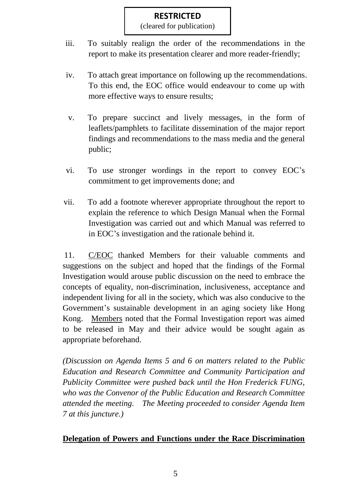RESTRICTED (cleared for publication)

- iii. To suitably realign the order of the recommendations in the report to make its presentation clearer and more reader-friendly;
- iv. To attach great importance on following up the recommendations. To this end, the EOC office would endeavour to come up with more effective ways to ensure results;
- v. To prepare succinct and lively messages, in the form of leaflets/pamphlets to facilitate dissemination of the major report findings and recommendations to the mass media and the general public;
- vi. To use stronger wordings in the report to convey EOC's commitment to get improvements done; and
- vii. To add a footnote wherever appropriate throughout the report to explain the reference to which Design Manual when the Formal Investigation was carried out and which Manual was referred to in EOC's investigation and the rationale behind it.

11. C/EOC thanked Members for their valuable comments and suggestions on the subject and hoped that the findings of the Formal Investigation would arouse public discussion on the need to embrace the concepts of equality, non-discrimination, inclusiveness, acceptance and independent living for all in the society, which was also conducive to the Government's sustainable development in an aging society like Hong Kong. Members noted that the Formal Investigation report was aimed to be released in May and their advice would be sought again as appropriate beforehand.

*(Discussion on Agenda Items 5 and 6 on matters related to the Public Education and Research Committee and Community Participation and Publicity Committee were pushed back until the Hon Frederick FUNG, who was the Convenor of the Public Education and Research Committee attended the meeting. The Meeting proceeded to consider Agenda Item 7 at this juncture.)*

### **Delegation of Powers and Functions under the Race Discrimination**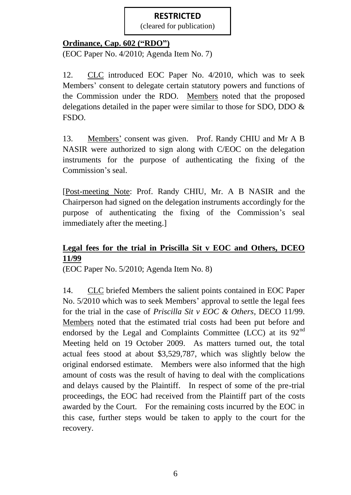RESTRICTED (cleared for publication)

#### **Ordinance, Cap. 602 ("RDO")**

(EOC Paper No. 4/2010; Agenda Item No. 7)

12. CLC introduced EOC Paper No. 4/2010, which was to seek Members' consent to delegate certain statutory powers and functions of the Commission under the RDO. Members noted that the proposed delegations detailed in the paper were similar to those for SDO, DDO & FSDO.

13. Members' consent was given. Prof. Randy CHIU and Mr A B NASIR were authorized to sign along with C/EOC on the delegation instruments for the purpose of authenticating the fixing of the Commission's seal.

[Post-meeting Note: Prof. Randy CHIU, Mr. A B NASIR and the Chairperson had signed on the delegation instruments accordingly for the purpose of authenticating the fixing of the Commission's seal immediately after the meeting.]

### **Legal fees for the trial in Priscilla Sit v EOC and Others, DCEO 11/99**

(EOC Paper No. 5/2010; Agenda Item No. 8)

14. CLC briefed Members the salient points contained in EOC Paper No. 5/2010 which was to seek Members' approval to settle the legal fees for the trial in the case of *Priscilla Sit v EOC & Others*, DECO 11/99. Members noted that the estimated trial costs had been put before and endorsed by the Legal and Complaints Committee (LCC) at its  $92<sup>nd</sup>$ Meeting held on 19 October 2009. As matters turned out, the total actual fees stood at about \$3,529,787, which was slightly below the original endorsed estimate. Members were also informed that the high amount of costs was the result of having to deal with the complications and delays caused by the Plaintiff. In respect of some of the pre-trial proceedings, the EOC had received from the Plaintiff part of the costs awarded by the Court. For the remaining costs incurred by the EOC in this case, further steps would be taken to apply to the court for the recovery.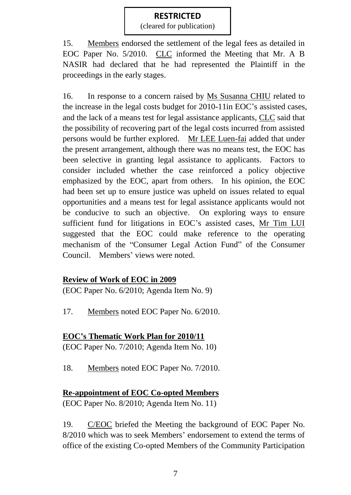RESTRICTED (cleared for publication)

15. Members endorsed the settlement of the legal fees as detailed in EOC Paper No. 5/2010. CLC informed the Meeting that Mr. A B NASIR had declared that he had represented the Plaintiff in the proceedings in the early stages.

16. In response to a concern raised by Ms Susanna CHIU related to the increase in the legal costs budget for 2010-11in EOC's assisted cases, and the lack of a means test for legal assistance applicants, CLC said that the possibility of recovering part of the legal costs incurred from assisted persons would be further explored. Mr LEE Luen-fai added that under the present arrangement, although there was no means test, the EOC has been selective in granting legal assistance to applicants. Factors to consider included whether the case reinforced a policy objective emphasized by the EOC, apart from others. In his opinion, the EOC had been set up to ensure justice was upheld on issues related to equal opportunities and a means test for legal assistance applicants would not be conducive to such an objective. On exploring ways to ensure sufficient fund for litigations in EOC's assisted cases, Mr Tim LUI suggested that the EOC could make reference to the operating mechanism of the "Consumer Legal Action Fund" of the Consumer Council. Members' views were noted.

### **Review of Work of EOC in 2009**

(EOC Paper No. 6/2010; Agenda Item No. 9)

17. Members noted EOC Paper No. 6/2010.

### **EOC's Thematic Work Plan for 2010/11**

(EOC Paper No. 7/2010; Agenda Item No. 10)

18. Members noted EOC Paper No. 7/2010.

#### **Re-appointment of EOC Co-opted Members**

(EOC Paper No. 8/2010; Agenda Item No. 11)

19. C/EOC briefed the Meeting the background of EOC Paper No. 8/2010 which was to seek Members' endorsement to extend the terms of office of the existing Co-opted Members of the Community Participation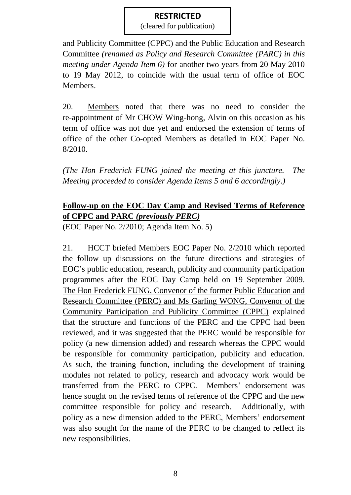RESTRICTED (cleared for publication)

and Publicity Committee (CPPC) and the Public Education and Research Committee *(renamed as Policy and Research Committee (PARC) in this meeting under Agenda Item 6)* for another two years from 20 May 2010 to 19 May 2012, to coincide with the usual term of office of EOC Members.

20. Members noted that there was no need to consider the re-appointment of Mr CHOW Wing-hong, Alvin on this occasion as his term of office was not due yet and endorsed the extension of terms of office of the other Co-opted Members as detailed in EOC Paper No. 8/2010.

*(The Hon Frederick FUNG joined the meeting at this juncture. The Meeting proceeded to consider Agenda Items 5 and 6 accordingly.)*

## **Follow-up on the EOC Day Camp and Revised Terms of Reference of CPPC and PARC** *(previously PERC)*

(EOC Paper No. 2/2010; Agenda Item No. 5)

21. HCCT briefed Members EOC Paper No. 2/2010 which reported the follow up discussions on the future directions and strategies of EOC's public education, research, publicity and community participation programmes after the EOC Day Camp held on 19 September 2009. The Hon Frederick FUNG, Convenor of the former Public Education and Research Committee (PERC) and Ms Garling WONG, Convenor of the Community Participation and Publicity Committee (CPPC) explained that the structure and functions of the PERC and the CPPC had been reviewed, and it was suggested that the PERC would be responsible for policy (a new dimension added) and research whereas the CPPC would be responsible for community participation, publicity and education. As such, the training function, including the development of training modules not related to policy, research and advocacy work would be transferred from the PERC to CPPC. Members' endorsement was hence sought on the revised terms of reference of the CPPC and the new committee responsible for policy and research. Additionally, with policy as a new dimension added to the PERC, Members' endorsement was also sought for the name of the PERC to be changed to reflect its new responsibilities.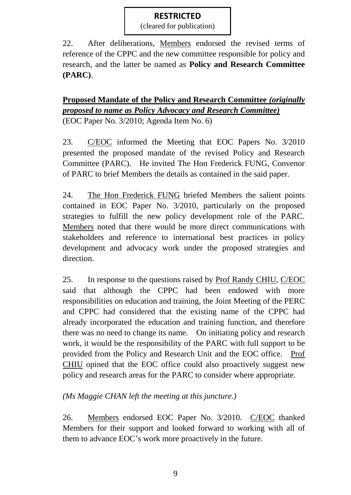RESTRICTED (cleared for publication)

22. After deliberations, Members endorsed the revised terms of reference of the CPPC and the new committee responsible for policy and research, and the latter be named as **Policy and Research Committee (PARC)**.

**Proposed Mandate of the Policy and Research Committee** *(originally proposed to name as Policy Advocacy and Research Committee)* (EOC Paper No. 3/2010; Agenda Item No. 6)

23. C/EOC informed the Meeting that EOC Papers No. 3/2010 presented the proposed mandate of the revised Policy and Research Committee (PARC). He invited The Hon Frederick FUNG, Convenor of PARC to brief Members the details as contained in the said paper.

24. The Hon Frederick FUNG briefed Members the salient points contained in EOC Paper No. 3/2010, particularly on the proposed strategies to fulfill the new policy development role of the PARC. Members noted that there would be more direct communications with stakeholders and reference to international best practices in policy development and advocacy work under the proposed strategies and direction.

25. In response to the questions raised by Prof Randy CHIU, C/EOC said that although the CPPC had been endowed with more responsibilities on education and training, the Joint Meeting of the PERC and CPPC had considered that the existing name of the CPPC had already incorporated the education and training function, and therefore there was no need to change its name. On initiating policy and research work, it would be the responsibility of the PARC with full support to be provided from the Policy and Research Unit and the EOC office. Prof CHIU opined that the EOC office could also proactively suggest new policy and research areas for the PARC to consider where appropriate.

*(Ms Maggie CHAN left the meeting at this juncture.)*

26. Members endorsed EOC Paper No. 3/2010. C/EOC thanked Members for their support and looked forward to working with all of them to advance EOC's work more proactively in the future.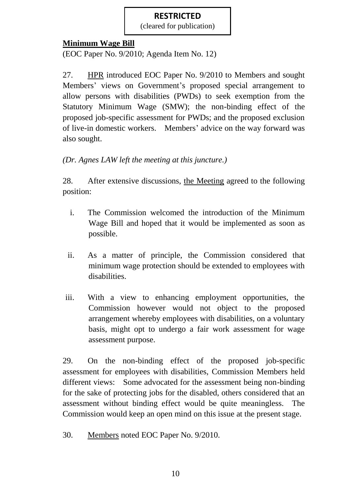RESTRICTED (cleared for publication)

## **Minimum Wage Bill**

(EOC Paper No. 9/2010; Agenda Item No. 12)

27. HPR introduced EOC Paper No. 9/2010 to Members and sought Members' views on Government's proposed special arrangement to allow persons with disabilities (PWDs) to seek exemption from the Statutory Minimum Wage (SMW); the non-binding effect of the proposed job-specific assessment for PWDs; and the proposed exclusion of live-in domestic workers. Members' advice on the way forward was also sought.

### *(Dr. Agnes LAW left the meeting at this juncture.)*

28. After extensive discussions, the Meeting agreed to the following position:

- i. The Commission welcomed the introduction of the Minimum Wage Bill and hoped that it would be implemented as soon as possible.
- ii. As a matter of principle, the Commission considered that minimum wage protection should be extended to employees with disabilities.
- iii. With a view to enhancing employment opportunities, the Commission however would not object to the proposed arrangement whereby employees with disabilities, on a voluntary basis, might opt to undergo a fair work assessment for wage assessment purpose.

29. On the non-binding effect of the proposed job-specific assessment for employees with disabilities, Commission Members held different views: Some advocated for the assessment being non-binding for the sake of protecting jobs for the disabled, others considered that an assessment without binding effect would be quite meaningless. The Commission would keep an open mind on this issue at the present stage.

30. Members noted EOC Paper No. 9/2010.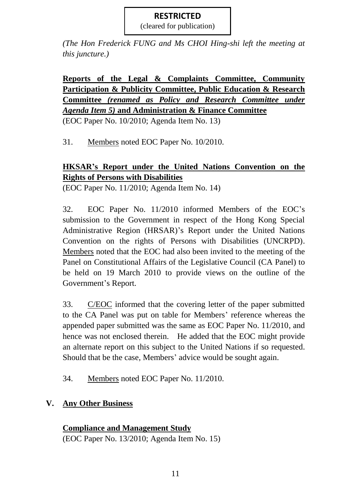RESTRICTED (cleared for publication)

*(The Hon Frederick FUNG and Ms CHOI Hing-shi left the meeting at this juncture.)*

**Reports of the Legal & Complaints Committee, Community Participation & Publicity Committee, Public Education & Research Committee** *(renamed as Policy and Research Committee under Agenda Item 5)* **and Administration & Finance Committee** (EOC Paper No. 10/2010; Agenda Item No. 13)

31. Members noted EOC Paper No. 10/2010.

## **HKSAR's Report under the United Nations Convention on the Rights of Persons with Disabilities**

(EOC Paper No. 11/2010; Agenda Item No. 14)

32. EOC Paper No. 11/2010 informed Members of the EOC's submission to the Government in respect of the Hong Kong Special Administrative Region (HRSAR)'s Report under the United Nations Convention on the rights of Persons with Disabilities (UNCRPD). Members noted that the EOC had also been invited to the meeting of the Panel on Constitutional Affairs of the Legislative Council (CA Panel) to be held on 19 March 2010 to provide views on the outline of the Government's Report.

33. C/EOC informed that the covering letter of the paper submitted to the CA Panel was put on table for Members' reference whereas the appended paper submitted was the same as EOC Paper No. 11/2010, and hence was not enclosed therein. He added that the EOC might provide an alternate report on this subject to the United Nations if so requested. Should that be the case, Members' advice would be sought again.

34. Members noted EOC Paper No. 11/2010.

# **V. Any Other Business**

### **Compliance and Management Study**

(EOC Paper No. 13/2010; Agenda Item No. 15)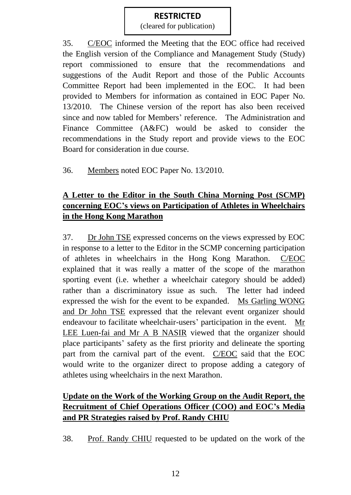RESTRICTED (cleared for publication)

35. C/EOC informed the Meeting that the EOC office had received the English version of the Compliance and Management Study (Study) report commissioned to ensure that the recommendations and suggestions of the Audit Report and those of the Public Accounts Committee Report had been implemented in the EOC. It had been provided to Members for information as contained in EOC Paper No. 13/2010. The Chinese version of the report has also been received since and now tabled for Members' reference. The Administration and Finance Committee (A&FC) would be asked to consider the recommendations in the Study report and provide views to the EOC Board for consideration in due course.

36. Members noted EOC Paper No. 13/2010.

## **A Letter to the Editor in the South China Morning Post (SCMP) concerning EOC's views on Participation of Athletes in Wheelchairs in the Hong Kong Marathon**

37. Dr John TSE expressed concerns on the views expressed by EOC in response to a letter to the Editor in the SCMP concerning participation of athletes in wheelchairs in the Hong Kong Marathon. C/EOC explained that it was really a matter of the scope of the marathon sporting event (i.e. whether a wheelchair category should be added) rather than a discriminatory issue as such. The letter had indeed expressed the wish for the event to be expanded. Ms Garling WONG and Dr John TSE expressed that the relevant event organizer should endeavour to facilitate wheelchair-users' participation in the event. Mr LEE Luen-fai and Mr A B NASIR viewed that the organizer should place participants' safety as the first priority and delineate the sporting part from the carnival part of the event. C/EOC said that the EOC would write to the organizer direct to propose adding a category of athletes using wheelchairs in the next Marathon.

# **Update on the Work of the Working Group on the Audit Report, the Recruitment of Chief Operations Officer (COO) and EOC's Media and PR Strategies raised by Prof. Randy CHIU**

38. Prof. Randy CHIU requested to be updated on the work of the